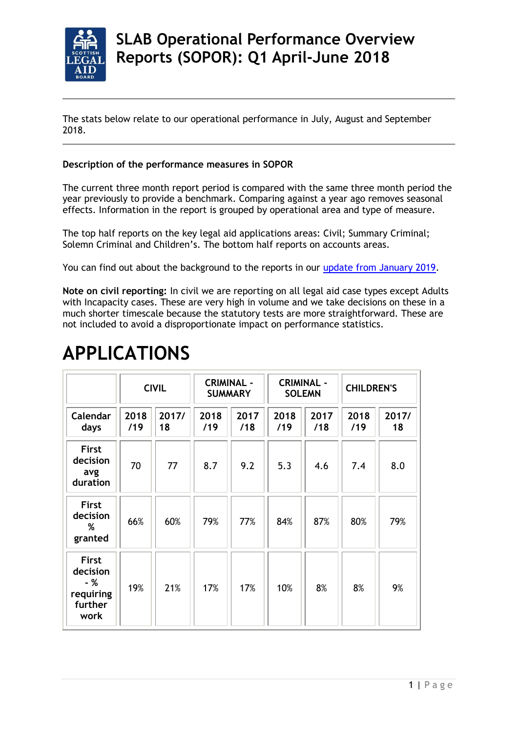

## **SLAB Operational Performance Overview Reports (SOPOR): Q1 April-June 2018**

The stats below relate to our operational performance in July, August and September 2018.

## **Description of the performance measures in SOPOR**

The current three month report period is compared with the same three month period the year previously to provide a benchmark. Comparing against a year ago removes seasonal effects. Information in the report is grouped by operational area and type of measure.

The top half reports on the key legal aid applications areas: Civil; Summary Criminal; Solemn Criminal and Children's. The bottom half reports on accounts areas.

You can find out about the background to the reports in our [update from January 2019.](https://dev.slab.org.uk/news/new-slab-performance-measures-provide-a-whole-service-assessment-and-drive-improvements/)

**Note on civil reporting:** In civil we are reporting on all legal aid case types except Adults with Incapacity cases. These are very high in volume and we take decisions on these in a much shorter timescale because the statutory tests are more straightforward. These are not included to avoid a disproportionate impact on performance statistics.

|                                                                 |             | <b>CIVIL</b> | <b>CRIMINAL -</b><br><b>SUMMARY</b> |             | <b>CRIMINAL -</b><br><b>SOLEMN</b> |             | <b>CHILDREN'S</b> |             |
|-----------------------------------------------------------------|-------------|--------------|-------------------------------------|-------------|------------------------------------|-------------|-------------------|-------------|
| Calendar<br>days                                                | 2018<br>/19 | 2017/<br>18  | 2018<br>/19                         | 2017<br>/18 | 2018<br>/19                        | 2017<br>/18 | 2018<br>/19       | 2017/<br>18 |
| <b>First</b><br>decision<br>avg<br>duration                     | 70          | 77           | 8.7                                 | 9.2         | 5.3                                | 4.6         | 7.4               | 8.0         |
| <b>First</b><br>decision<br>%<br>granted                        | 66%         | 60%          | 79%                                 | 77%         | 84%                                | 87%         | 80%               | 79%         |
| <b>First</b><br>decision<br>- %<br>requiring<br>further<br>work | 19%         | 21%          | 17%                                 | 17%         | 10%                                | 8%          | 8%                | 9%          |

## **APPLICATIONS**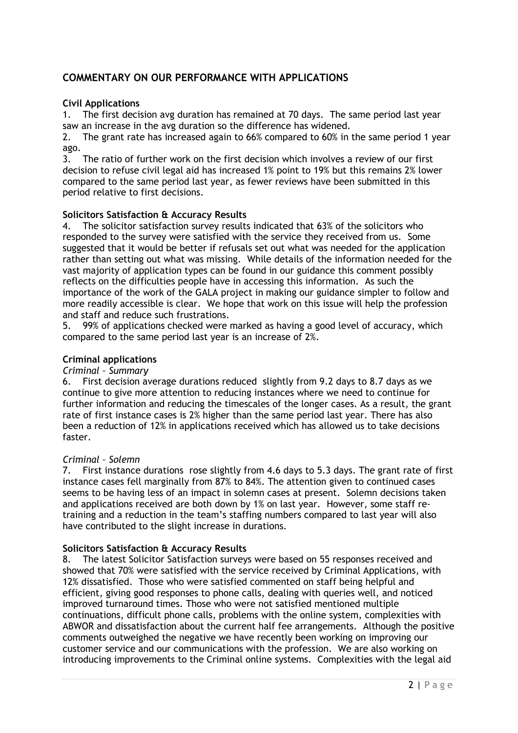## **COMMENTARY ON OUR PERFORMANCE WITH APPLICATIONS**

## **Civil Applications**

1. The first decision avg duration has remained at 70 days. The same period last year saw an increase in the avg duration so the difference has widened.

2. The grant rate has increased again to 66% compared to 60% in the same period 1 year ago.

3. The ratio of further work on the first decision which involves a review of our first decision to refuse civil legal aid has increased 1% point to 19% but this remains 2% lower compared to the same period last year, as fewer reviews have been submitted in this period relative to first decisions.

## **Solicitors Satisfaction & Accuracy Results**

4. The solicitor satisfaction survey results indicated that 63% of the solicitors who responded to the survey were satisfied with the service they received from us. Some suggested that it would be better if refusals set out what was needed for the application rather than setting out what was missing. While details of the information needed for the vast majority of application types can be found in our guidance this comment possibly reflects on the difficulties people have in accessing this information. As such the importance of the work of the GALA project in making our guidance simpler to follow and more readily accessible is clear. We hope that work on this issue will help the profession and staff and reduce such frustrations.

5. 99% of applications checked were marked as having a good level of accuracy, which compared to the same period last year is an increase of 2%.

#### **Criminal applications**

#### *Criminal – Summary*

6. First decision average durations reduced slightly from 9.2 days to 8.7 days as we continue to give more attention to reducing instances where we need to continue for further information and reducing the timescales of the longer cases. As a result, the grant rate of first instance cases is 2% higher than the same period last year. There has also been a reduction of 12% in applications received which has allowed us to take decisions faster.

## *Criminal – Solemn*

7. First instance durations rose slightly from 4.6 days to 5.3 days. The grant rate of first instance cases fell marginally from 87% to 84%. The attention given to continued cases seems to be having less of an impact in solemn cases at present. Solemn decisions taken and applications received are both down by 1% on last year. However, some staff retraining and a reduction in the team's staffing numbers compared to last year will also have contributed to the slight increase in durations.

## **Solicitors Satisfaction & Accuracy Results**

8. The latest Solicitor Satisfaction surveys were based on 55 responses received and showed that 70% were satisfied with the service received by Criminal Applications, with 12% dissatisfied. Those who were satisfied commented on staff being helpful and efficient, giving good responses to phone calls, dealing with queries well, and noticed improved turnaround times. Those who were not satisfied mentioned multiple continuations, difficult phone calls, problems with the online system, complexities with ABWOR and dissatisfaction about the current half fee arrangements. Although the positive comments outweighed the negative we have recently been working on improving our customer service and our communications with the profession. We are also working on introducing improvements to the Criminal online systems. Complexities with the legal aid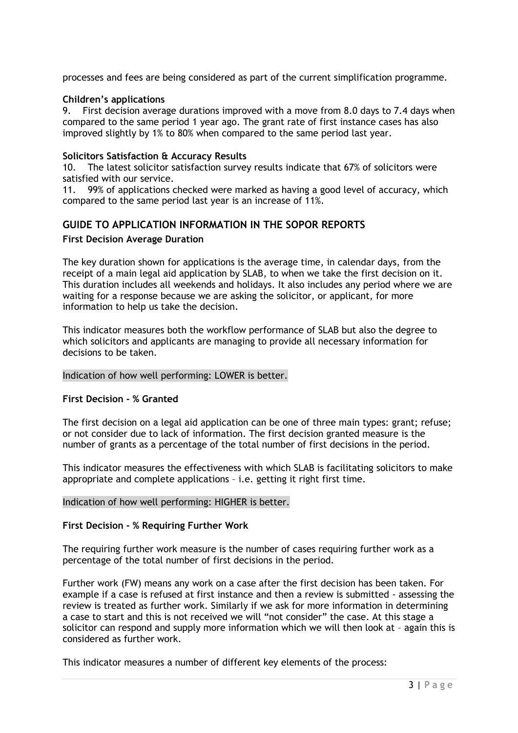processes and fees are being considered as part of the current simplification programme.

## **Children's applications**

9. First decision average durations improved with a move from 8.0 days to 7.4 days when compared to the same period 1 year ago. The grant rate of first instance cases has also improved slightly by 1% to 80% when compared to the same period last year.

## **Solicitors Satisfaction & Accuracy Results**

10. The latest solicitor satisfaction survey results indicate that 67% of solicitors were satisfied with our service.

11. 99% of applications checked were marked as having a good level of accuracy, which compared to the same period last year is an increase of 11%.

## **GUIDE TO APPLICATION INFORMATION IN THE SOPOR REPORTS**

## **First Decision Average Duration**

The key duration shown for applications is the average time, in calendar days, from the receipt of a main legal aid application by SLAB, to when we take the first decision on it. This duration includes all weekends and holidays. It also includes any period where we are waiting for a response because we are asking the solicitor, or applicant, for more information to help us take the decision.

This indicator measures both the workflow performance of SLAB but also the degree to which solicitors and applicants are managing to provide all necessary information for decisions to be taken.

## Indication of how well performing: LOWER is better.

## **First Decision - % Granted**

The first decision on a legal aid application can be one of three main types: grant; refuse; or not consider due to lack of information. The first decision granted measure is the number of grants as a percentage of the total number of first decisions in the period.

This indicator measures the effectiveness with which SLAB is facilitating solicitors to make appropriate and complete applications – i.e. getting it right first time.

## Indication of how well performing: HIGHER is better.

## **First Decision - % Requiring Further Work**

The requiring further work measure is the number of cases requiring further work as a percentage of the total number of first decisions in the period.

Further work (FW) means any work on a case after the first decision has been taken. For example if a case is refused at first instance and then a review is submitted - assessing the review is treated as further work. Similarly if we ask for more information in determining a case to start and this is not received we will "not consider" the case. At this stage a solicitor can respond and supply more information which we will then look at – again this is considered as further work.

This indicator measures a number of different key elements of the process: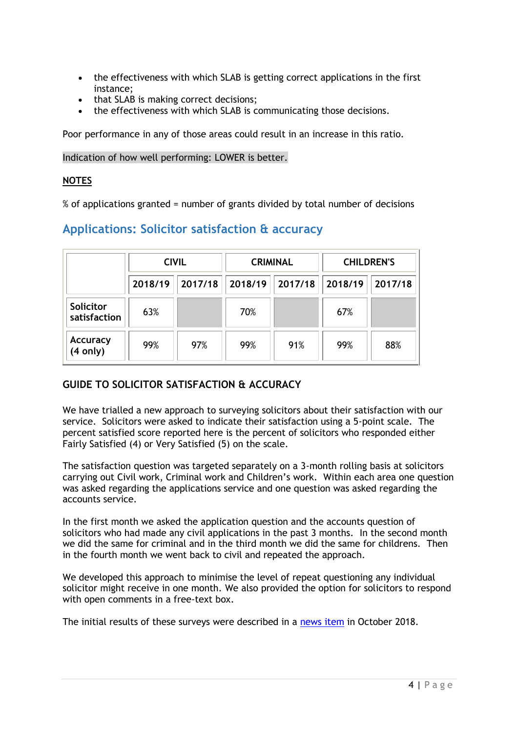- the effectiveness with which SLAB is getting correct applications in the first instance;
- that SLAB is making correct decisions;
- the effectiveness with which SLAB is communicating those decisions.

Poor performance in any of those areas could result in an increase in this ratio.

Indication of how well performing: LOWER is better.

## **NOTES**

% of applications granted = number of grants divided by total number of decisions

## **Applications: Solicitor satisfaction & accuracy**

|                           | <b>CIVIL</b> |         |         | <b>CRIMINAL</b> | <b>CHILDREN'S</b> |         |
|---------------------------|--------------|---------|---------|-----------------|-------------------|---------|
|                           | 2018/19      | 2017/18 | 2018/19 | 2017/18         | 2018/19           | 2017/18 |
| Solicitor<br>satisfaction | 63%          |         | 70%     |                 | 67%               |         |
| Accuracy<br>(4 only)      | 99%          | 97%     | 99%     | 91%             | 99%               | 88%     |

## **GUIDE TO SOLICITOR SATISFACTION & ACCURACY**

We have trialled a new approach to surveying solicitors about their satisfaction with our service. Solicitors were asked to indicate their satisfaction using a 5-point scale. The percent satisfied score reported here is the percent of solicitors who responded either Fairly Satisfied (4) or Very Satisfied (5) on the scale.

The satisfaction question was targeted separately on a 3-month rolling basis at solicitors carrying out Civil work, Criminal work and Children's work. Within each area one question was asked regarding the applications service and one question was asked regarding the accounts service.

In the first month we asked the application question and the accounts question of solicitors who had made any civil applications in the past 3 months. In the second month we did the same for criminal and in the third month we did the same for childrens. Then in the fourth month we went back to civil and repeated the approach.

We developed this approach to minimise the level of repeat questioning any individual solicitor might receive in one month. We also provided the option for solicitors to respond with open comments in a free-text box.

The initial results of these surveys were described in a [news item](https://www.slab.org.uk/providers/mailshots/newsfeed/Survey.html) in October 2018.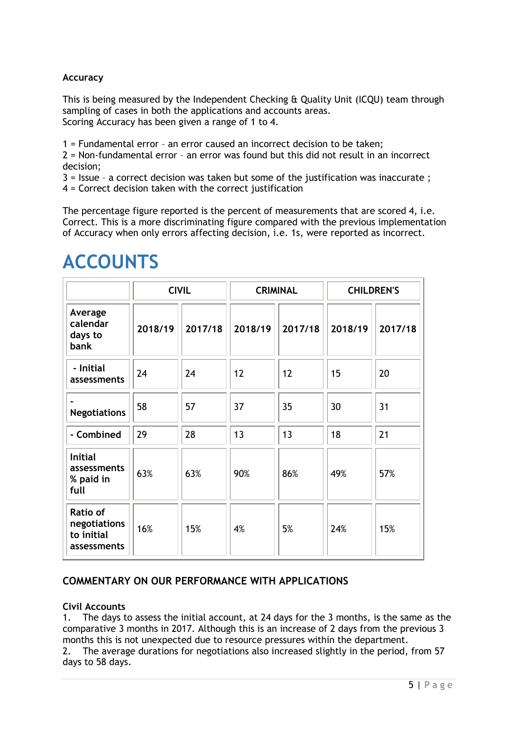## **Accuracy**

This is being measured by the Independent Checking & Quality Unit (ICQU) team through sampling of cases in both the applications and accounts areas. Scoring Accuracy has been given a range of 1 to 4.

1 = Fundamental error – an error caused an incorrect decision to be taken;

2 = Non-fundamental error – an error was found but this did not result in an incorrect decision;

3 = Issue – a correct decision was taken but some of the justification was inaccurate ;

4 = Correct decision taken with the correct justification

The percentage figure reported is the percent of measurements that are scored 4, i.e. Correct. This is a more discriminating figure compared with the previous implementation of Accuracy when only errors affecting decision, i.e. 1s, were reported as incorrect.

|                                                       | <b>CIVIL</b> |         |         | <b>CRIMINAL</b> | <b>CHILDREN'S</b> |         |
|-------------------------------------------------------|--------------|---------|---------|-----------------|-------------------|---------|
| Average<br>calendar<br>days to<br>bank                | 2018/19      | 2017/18 | 2018/19 | 2017/18         | 2018/19           | 2017/18 |
| - Initial<br>assessments                              | 24           | 24      | 12      | 12              | 15                | 20      |
| <b>Negotiations</b>                                   | 58           | 57      | 37      | 35              | 30                | 31      |
| - Combined                                            | 29           | 28      | 13      | 13              | 18                | 21      |
| <b>Initial</b><br>assessments<br>% paid in<br>full    | 63%          | 63%     | 90%     | 86%             | 49%               | 57%     |
| Ratio of<br>negotiations<br>to initial<br>assessments | 16%          | 15%     | 4%      | 5%              | 24%               | 15%     |

# **ACCOUNTS**

## **COMMENTARY ON OUR PERFORMANCE WITH APPLICATIONS**

## **Civil Accounts**

1. The days to assess the initial account, at 24 days for the 3 months, is the same as the comparative 3 months in 2017. Although this is an increase of 2 days from the previous 3 months this is not unexpected due to resource pressures within the department.

2. The average durations for negotiations also increased slightly in the period, from 57 days to 58 days.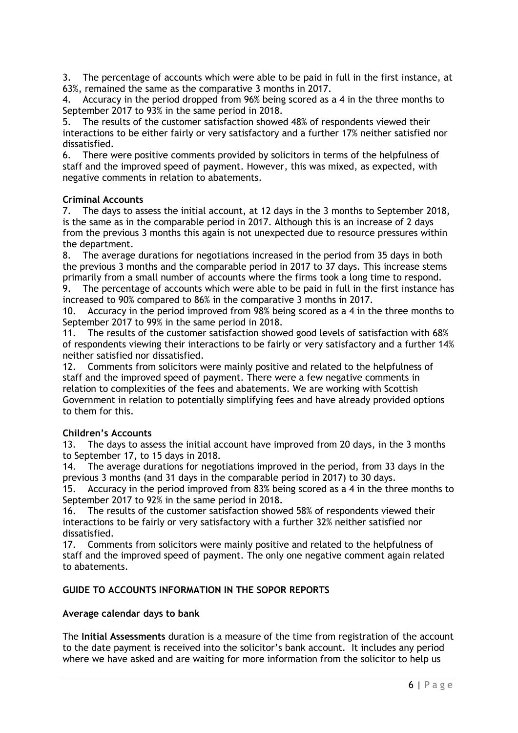3. The percentage of accounts which were able to be paid in full in the first instance, at 63%, remained the same as the comparative 3 months in 2017.

4. Accuracy in the period dropped from 96% being scored as a 4 in the three months to September 2017 to 93% in the same period in 2018.

5. The results of the customer satisfaction showed 48% of respondents viewed their interactions to be either fairly or very satisfactory and a further 17% neither satisfied nor dissatisfied.

6. There were positive comments provided by solicitors in terms of the helpfulness of staff and the improved speed of payment. However, this was mixed, as expected, with negative comments in relation to abatements.

## **Criminal Accounts**

7. The days to assess the initial account, at 12 days in the 3 months to September 2018, is the same as in the comparable period in 2017. Although this is an increase of 2 days from the previous 3 months this again is not unexpected due to resource pressures within the department.

8. The average durations for negotiations increased in the period from 35 days in both the previous 3 months and the comparable period in 2017 to 37 days. This increase stems primarily from a small number of accounts where the firms took a long time to respond.

9. The percentage of accounts which were able to be paid in full in the first instance has increased to 90% compared to 86% in the comparative 3 months in 2017.

10. Accuracy in the period improved from 98% being scored as a 4 in the three months to September 2017 to 99% in the same period in 2018.

11. The results of the customer satisfaction showed good levels of satisfaction with 68% of respondents viewing their interactions to be fairly or very satisfactory and a further 14% neither satisfied nor dissatisfied.

12. Comments from solicitors were mainly positive and related to the helpfulness of staff and the improved speed of payment. There were a few negative comments in relation to complexities of the fees and abatements. We are working with Scottish Government in relation to potentially simplifying fees and have already provided options to them for this.

## **Children's Accounts**

13. The days to assess the initial account have improved from 20 days, in the 3 months to September 17, to 15 days in 2018.

14. The average durations for negotiations improved in the period, from 33 days in the previous 3 months (and 31 days in the comparable period in 2017) to 30 days.

15. Accuracy in the period improved from 83% being scored as a 4 in the three months to September 2017 to 92% in the same period in 2018.

16. The results of the customer satisfaction showed 58% of respondents viewed their interactions to be fairly or very satisfactory with a further 32% neither satisfied nor dissatisfied.

17. Comments from solicitors were mainly positive and related to the helpfulness of staff and the improved speed of payment. The only one negative comment again related to abatements.

## **[GUIDE TO ACCOUNTS INFORMATION IN THE SOPOR REPORTS](https://www.slab.org.uk/about-us/what-we-do/Performance/quarterone2018.html)**

## **Average calendar days to bank**

The **Initial Assessments** duration is a measure of the time from registration of the account to the date payment is received into the solicitor's bank account. It includes any period where we have asked and are waiting for more information from the solicitor to help us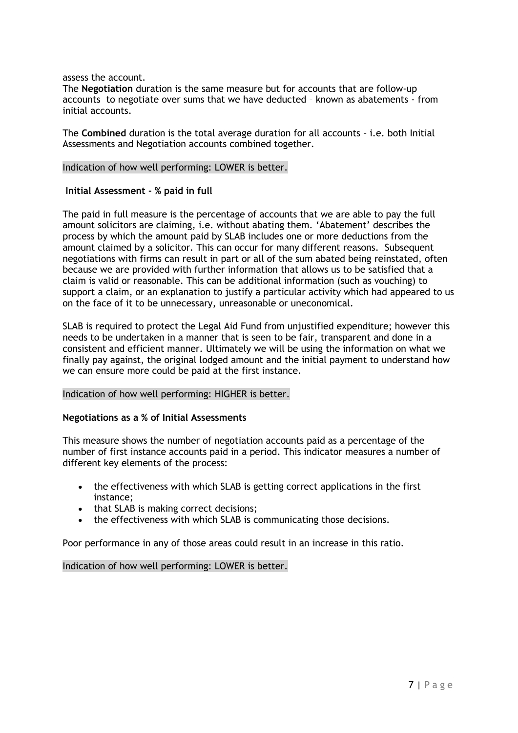assess the account.

The **Negotiation** duration is the same measure but for accounts that are follow-up accounts to negotiate over sums that we have deducted – known as abatements - from initial accounts.

The **Combined** duration is the total average duration for all accounts – i.e. both Initial Assessments and Negotiation accounts combined together.

#### Indication of how well performing: LOWER is better.

#### **Initial Assessment - % paid in full**

The paid in full measure is the percentage of accounts that we are able to pay the full amount solicitors are claiming, i.e. without abating them. 'Abatement' describes the process by which the amount paid by SLAB includes one or more deductions from the amount claimed by a solicitor. This can occur for many different reasons. Subsequent negotiations with firms can result in part or all of the sum abated being reinstated, often because we are provided with further information that allows us to be satisfied that a claim is valid or reasonable. This can be additional information (such as vouching) to support a claim, or an explanation to justify a particular activity which had appeared to us on the face of it to be unnecessary, unreasonable or uneconomical.

SLAB is required to protect the Legal Aid Fund from unjustified expenditure; however this needs to be undertaken in a manner that is seen to be fair, transparent and done in a consistent and efficient manner. Ultimately we will be using the information on what we finally pay against, the original lodged amount and the initial payment to understand how we can ensure more could be paid at the first instance.

#### Indication of how well performing: HIGHER is better.

#### **Negotiations as a % of Initial Assessments**

This measure shows the number of negotiation accounts paid as a percentage of the number of first instance accounts paid in a period. This indicator measures a number of different key elements of the process:

- the effectiveness with which SLAB is getting correct applications in the first instance;
- that SLAB is making correct decisions;
- the effectiveness with which SLAB is communicating those decisions.

Poor performance in any of those areas could result in an increase in this ratio.

Indication of how well performing: LOWER is better.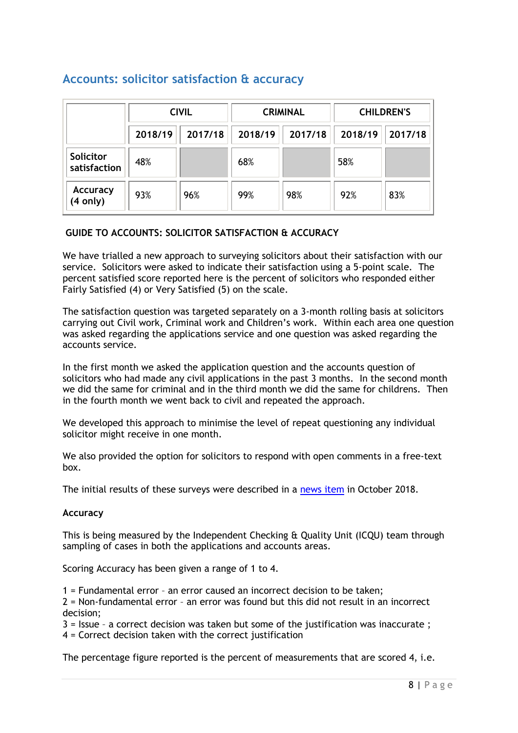## **Accounts: solicitor satisfaction & accuracy**

|                           | <b>CIVIL</b> |         |         | <b>CRIMINAL</b> | <b>CHILDREN'S</b> |         |
|---------------------------|--------------|---------|---------|-----------------|-------------------|---------|
|                           | 2018/19      | 2017/18 | 2018/19 | 2017/18         | 2018/19           | 2017/18 |
| Solicitor<br>satisfaction | 48%          |         | 68%     |                 | 58%               |         |
| Accuracy<br>(4 only)      | 93%          | 96%     | 99%     | 98%             | 92%               | 83%     |

## **GUIDE TO ACCOUNTS: SOLICITOR SATISFACTION & ACCURACY**

We have trialled a new approach to surveying solicitors about their satisfaction with our service. Solicitors were asked to indicate their satisfaction using a 5-point scale. The percent satisfied score reported here is the percent of solicitors who responded either Fairly Satisfied (4) or Very Satisfied (5) on the scale.

The satisfaction question was targeted separately on a 3-month rolling basis at solicitors carrying out Civil work, Criminal work and Children's work. Within each area one question was asked regarding the applications service and one question was asked regarding the accounts service.

In the first month we asked the application question and the accounts question of solicitors who had made any civil applications in the past 3 months. In the second month we did the same for criminal and in the third month we did the same for childrens. Then in the fourth month we went back to civil and repeated the approach.

We developed this approach to minimise the level of repeat questioning any individual solicitor might receive in one month.

We also provided the option for solicitors to respond with open comments in a free-text box.

The initial results of these surveys were described in a [news item](https://www.slab.org.uk/providers/mailshots/newsfeed/Survey.html) in October 2018.

## **Accuracy**

This is being measured by the Independent Checking & Quality Unit (ICQU) team through sampling of cases in both the applications and accounts areas.

Scoring Accuracy has been given a range of 1 to 4.

1 = Fundamental error – an error caused an incorrect decision to be taken;

2 = Non-fundamental error – an error was found but this did not result in an incorrect decision;

3 = Issue – a correct decision was taken but some of the justification was inaccurate ;

4 = Correct decision taken with the correct justification

The percentage figure reported is the percent of measurements that are scored 4, i.e.